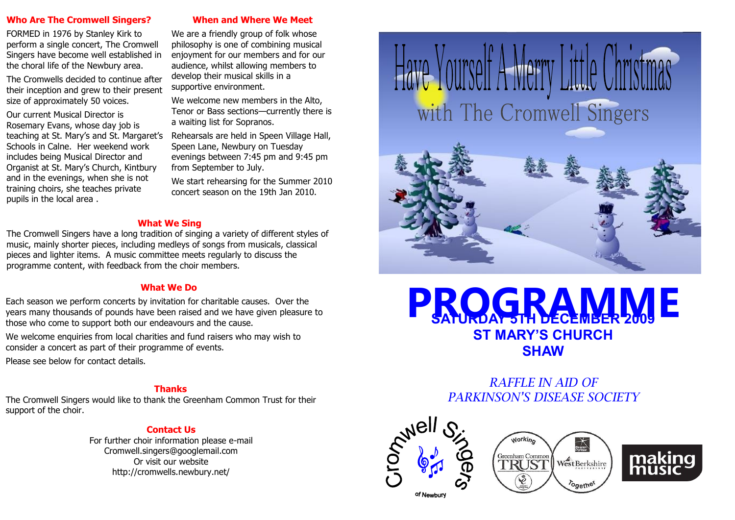#### **Who Are The Cromwell Singers?**

FORMED in 1976 by Stanley Kirk to perform a single concert, The Cromwell Singers have become well established in the choral life of the Newbury area.

The Cromwells decided to continue after their inception and grew to their present size of approximately 50 voices.

Our current Musical Director is Rosemary Evans, whose day job is teaching at St. Mary's and St. Margaret's Schools in Calne. Her weekend work includes being Musical Director and Organist at St. Mary's Church, Kintbury and in the evenings, when she is not training choirs, she teaches private pupils in the local area .

### **When and Where We Meet**

We are a friendly group of folk whose philosophy is one of combining musical enjoyment for our members and for our audience, whilst allowing members to develop their musical skills in a supportive environment.

We welcome new members in the Alto, Tenor or Bass sections—currently there is a waiting list for Sopranos.

Rehearsals are held in Speen Village Hall, Speen Lane, Newbury on Tuesday evenings between 7:45 pm and 9:45 pm from September to July.

We start rehearsing for the Summer 2010 concert season on the 19th Jan 2010.

### **What We Sing**

The Cromwell Singers have a long tradition of singing a variety of different styles of music, mainly shorter pieces, including medleys of songs from musicals, classical pieces and lighter items. A music committee meets regularly to discuss the programme content, with feedback from the choir members.

## **What We Do**

Each season we perform concerts by invitation for charitable causes. Over the years many thousands of pounds have been raised and we have given pleasure to those who come to support both our endeavours and the cause.

We welcome enquiries from local charities and fund raisers who may wish to consider a concert as part of their programme of events.

Please see below for contact details.

# **Thanks**

The Cromwell Singers would like to thank the Greenham Common Trust for their support of the choir.

# **Contact Us**

For further choir information please e-mail Cromwell.singers@googlemail.com Or visit our website http://cromwells.newbury.net/







# *RAFFLE IN AID OF PARKINSON'S DISEASE SOCIETY*







of Newbury